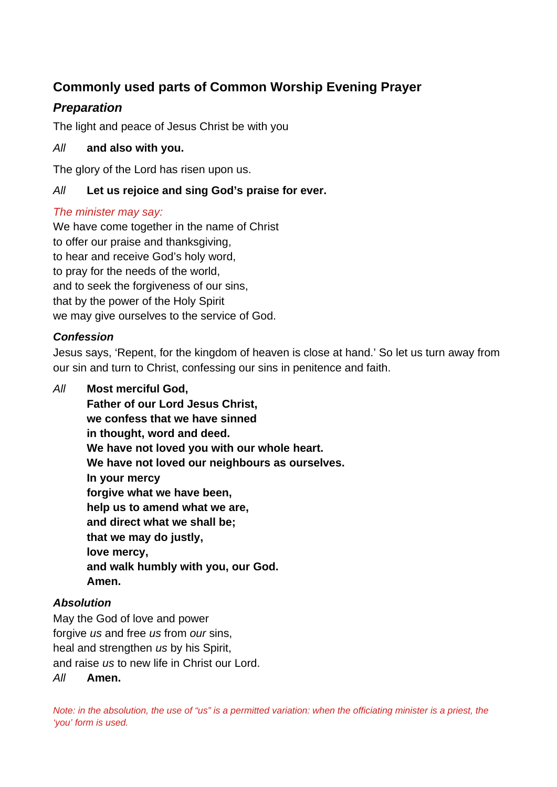# **Commonly used parts of Common Worship Evening Prayer**

# *Preparation*

The light and peace of Jesus Christ be with you

### *All* **and also with you.**

The glory of the Lord has risen upon us.

## *All* **Let us rejoice and sing God's praise for ever.**

### *The minister may say:*

We have come together in the name of Christ to offer our praise and thanksgiving, to hear and receive God's holy word, to pray for the needs of the world, and to seek the forgiveness of our sins, that by the power of the Holy Spirit we may give ourselves to the service of God.

### *Confession*

Jesus says, 'Repent, for the kingdom of heaven is close at hand.' So let us turn away from our sin and turn to Christ, confessing our sins in penitence and faith.

*All* **Most merciful God, Father of our Lord Jesus Christ, we confess that we have sinned in thought, word and deed. We have not loved you with our whole heart. We have not loved our neighbours as ourselves. In your mercy forgive what we have been, help us to amend what we are, and direct what we shall be; that we may do justly, love mercy, and walk humbly with you, our God. Amen.**

### *Absolution*

May the God of love and power forgive *us* and free *us* from *our* sins, heal and strengthen *us* by his Spirit, and raise *us* to new life in Christ our Lord. *All* **Amen.**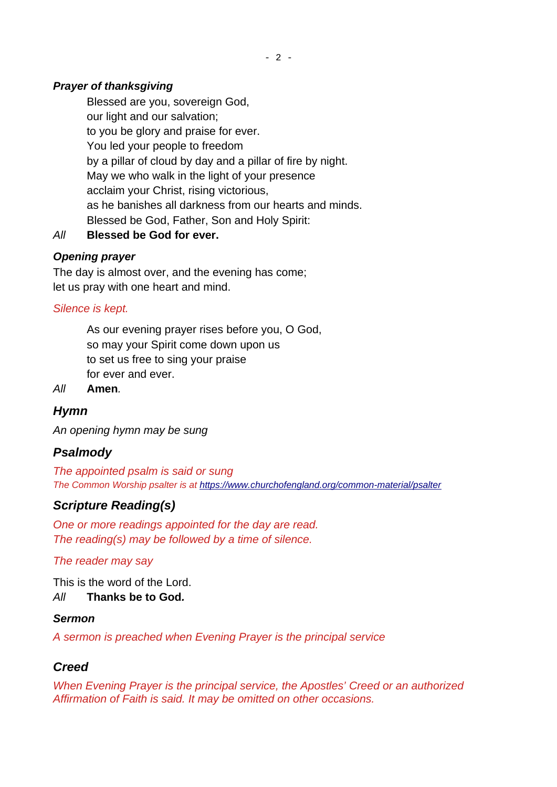### *Prayer of thanksgiving*

Blessed are you, sovereign God, our light and our salvation; to you be glory and praise for ever. You led your people to freedom by a pillar of cloud by day and a pillar of fire by night. May we who walk in the light of your presence acclaim your Christ, rising victorious, as he banishes all darkness from our hearts and minds. Blessed be God, Father, Son and Holy Spirit:

*All* **Blessed be God for ever.**

### *Opening prayer*

The day is almost over, and the evening has come; let us pray with one heart and mind.

### *Silence is kept.*

As our evening prayer rises before you, O God, so may your Spirit come down upon us to set us free to sing your praise for ever and ever.

*All* **Amen***.*

## *Hymn*

*An opening hymn may be sung*

## *Psalmody*

*The appointed psalm is said or sung The Common Worship psalter is at<https://www.churchofengland.org/common-material/psalter>*

### *Scripture Reading(s)*

*One or more readings appointed for the day are read. The reading(s) may be followed by a time of silence.*

*The reader may say*

This is the word of the Lord. *All* **Thanks be to God***.*

### *Sermon*

*A sermon is preached when Evening Prayer is the principal service* 

### *Creed*

*When Evening Prayer is the principal service, the Apostles' Creed or an authorized Affirmation of Faith is said. It may be omitted on other occasions.*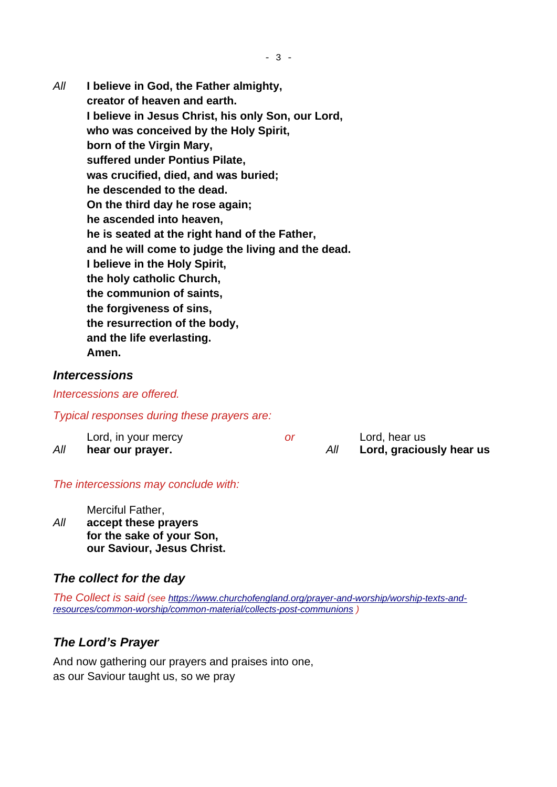*All* **I believe in God, the Father almighty, creator of heaven and earth. I believe in Jesus Christ, his only Son, our Lord, who was conceived by the Holy Spirit, born of the Virgin Mary, suffered under Pontius Pilate, was crucified, died, and was buried; he descended to the dead. On the third day he rose again; he ascended into heaven, he is seated at the right hand of the Father, and he will come to judge the living and the dead. I believe in the Holy Spirit, the holy catholic Church, the communion of saints, the forgiveness of sins, the resurrection of the body, and the life everlasting. Amen.**

#### *Intercessions*

#### *Intercessions are offered.*

#### *Typical responses during these prayers are:*

|     | Lord, in your mercy |  | Lord, hear us            |
|-----|---------------------|--|--------------------------|
| All | hear our prayer.    |  | Lord, graciously hear us |

#### *The intercessions may conclude with:*

Merciful Father,

*All* **accept these prayers for the sake of your Son, our Saviour, Jesus Christ.**

### *The collect for the day*

*The Collect is said (see [https://www.churchofengland.org/prayer-and-worship/worship-texts-and](https://www.churchofengland.org/prayer-and-worship/worship-texts-and-resources/common-worship/common-material/collects-post-communions)[resources/common-worship/common-material/collects-post-communions](https://www.churchofengland.org/prayer-and-worship/worship-texts-and-resources/common-worship/common-material/collects-post-communions) )*

### *The Lord's Prayer*

And now gathering our prayers and praises into one, as our Saviour taught us, so we pray